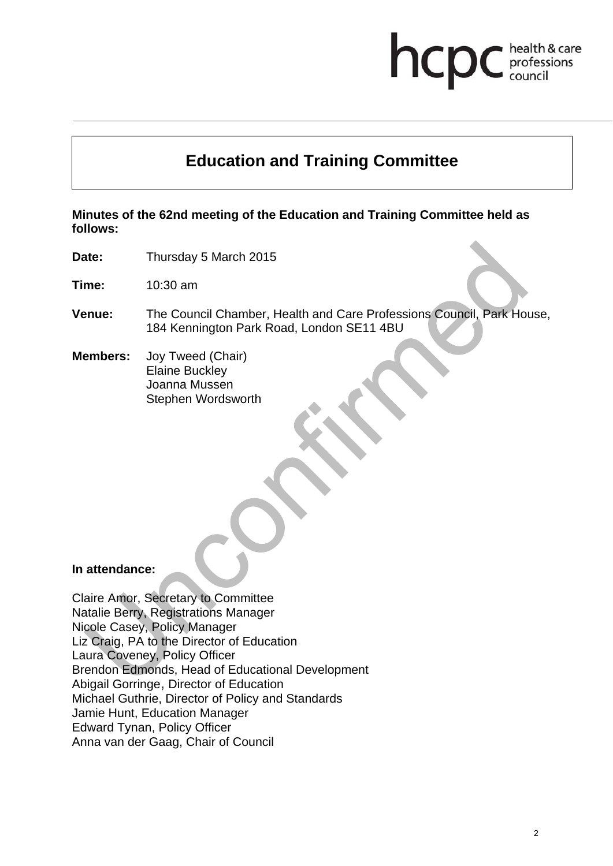## hcp health & care professions<br>council

# **Education and Training Committee**

**Minutes of the 62nd meeting of the Education and Training Committee held as follows:** 

**Date:** Thursday 5 March 2015

**Time:** 10:30 am

- **Venue:** The Council Chamber, Health and Care Professions Council, Park House, 184 Kennington Park Road, London SE11 4BU
- **Members:** Joy Tweed (Chair) Elaine Buckley Joanna Mussen Stephen Wordsworth

#### **In attendance:**

Claire Amor, Secretary to Committee Natalie Berry, Registrations Manager Nicole Casey, Policy Manager Liz Craig, PA to the Director of Education Laura Coveney, Policy Officer Brendon Edmonds, Head of Educational Development Abigail Gorringe, Director of Education Michael Guthrie, Director of Policy and Standards Jamie Hunt, Education Manager Edward Tynan, Policy Officer Anna van der Gaag, Chair of Council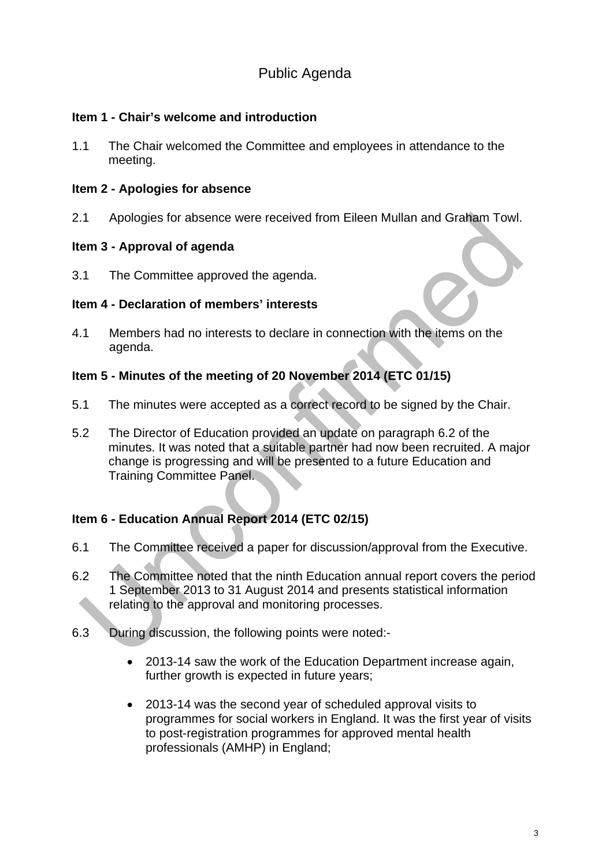## Public Agenda

#### **Item 1 - Chair's welcome and introduction**

1.1 The Chair welcomed the Committee and employees in attendance to the meeting.

#### **Item 2 - Apologies for absence**

2.1 Apologies for absence were received from Eileen Mullan and Graham Towl.

#### **Item 3 - Approval of agenda**

3.1 The Committee approved the agenda.

#### **Item 4 - Declaration of members' interests**

4.1 Members had no interests to declare in connection with the items on the agenda.

#### **Item 5 - Minutes of the meeting of 20 November 2014 (ETC 01/15)**

- 5.1 The minutes were accepted as a correct record to be signed by the Chair.
- 5.2 The Director of Education provided an update on paragraph 6.2 of the minutes. It was noted that a suitable partner had now been recruited. A major change is progressing and will be presented to a future Education and Training Committee Panel.

### **Item 6 - Education Annual Report 2014 (ETC 02/15)**

- 6.1 The Committee received a paper for discussion/approval from the Executive.
- 6.2 The Committee noted that the ninth Education annual report covers the period 1 September 2013 to 31 August 2014 and presents statistical information relating to the approval and monitoring processes.
- 6.3 During discussion, the following points were noted:-
	- 2013-14 saw the work of the Education Department increase again, further growth is expected in future years;
	- 2013-14 was the second year of scheduled approval visits to programmes for social workers in England. It was the first year of visits to post-registration programmes for approved mental health professionals (AMHP) in England;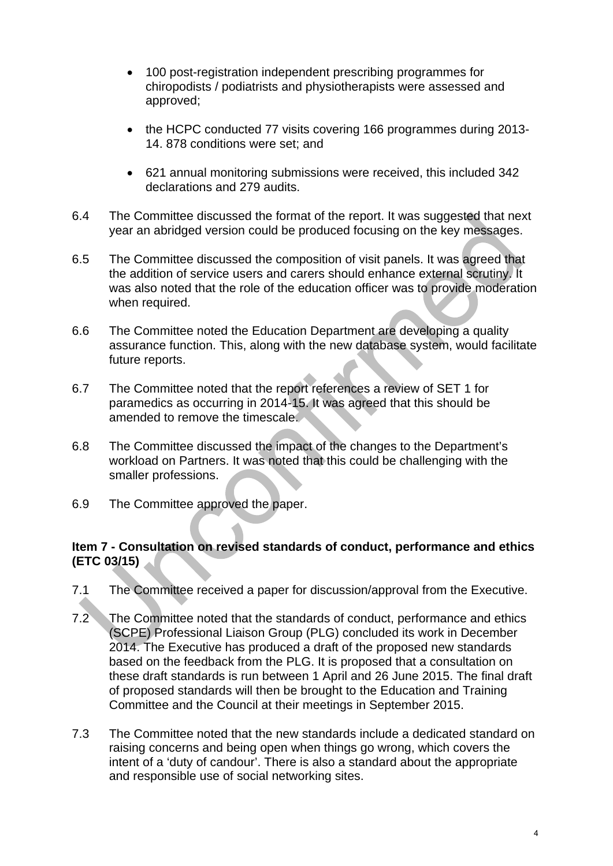- 100 post-registration independent prescribing programmes for chiropodists / podiatrists and physiotherapists were assessed and approved;
- the HCPC conducted 77 visits covering 166 programmes during 2013-14. 878 conditions were set; and
- 621 annual monitoring submissions were received, this included 342 declarations and 279 audits.
- 6.4 The Committee discussed the format of the report. It was suggested that next year an abridged version could be produced focusing on the key messages.
- 6.5 The Committee discussed the composition of visit panels. It was agreed that the addition of service users and carers should enhance external scrutiny. It was also noted that the role of the education officer was to provide moderation when required.
- 6.6 The Committee noted the Education Department are developing a quality assurance function. This, along with the new database system, would facilitate future reports.
- 6.7 The Committee noted that the report references a review of SET 1 for paramedics as occurring in 2014-15. It was agreed that this should be amended to remove the timescale.
- 6.8 The Committee discussed the impact of the changes to the Department's workload on Partners. It was noted that this could be challenging with the smaller professions.
- 6.9 The Committee approved the paper.

#### **Item 7 - Consultation on revised standards of conduct, performance and ethics (ETC 03/15)**

- 7.1 The Committee received a paper for discussion/approval from the Executive.
- 7.2 The Committee noted that the standards of conduct, performance and ethics (SCPE) Professional Liaison Group (PLG) concluded its work in December 2014. The Executive has produced a draft of the proposed new standards based on the feedback from the PLG. It is proposed that a consultation on these draft standards is run between 1 April and 26 June 2015. The final draft of proposed standards will then be brought to the Education and Training Committee and the Council at their meetings in September 2015.
- 7.3 The Committee noted that the new standards include a dedicated standard on raising concerns and being open when things go wrong, which covers the intent of a 'duty of candour'. There is also a standard about the appropriate and responsible use of social networking sites.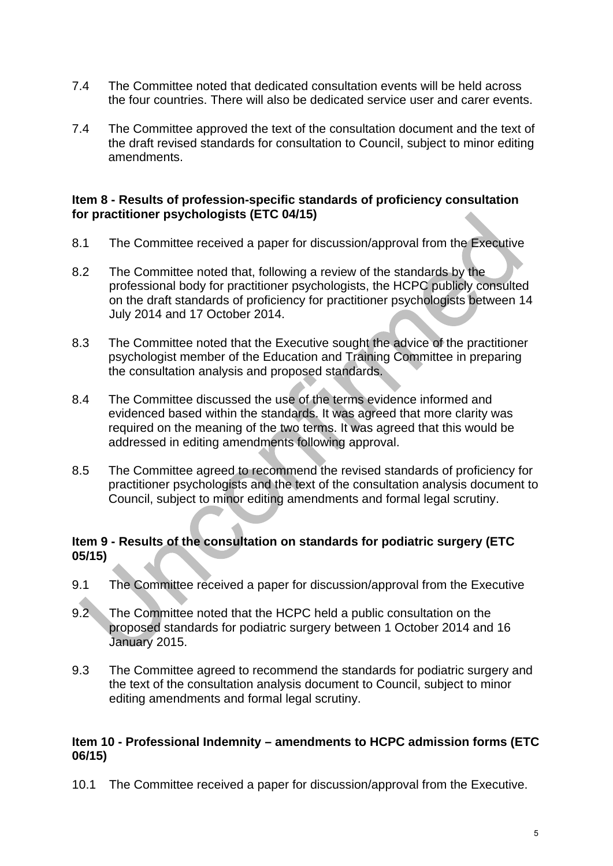- 7.4 The Committee noted that dedicated consultation events will be held across the four countries. There will also be dedicated service user and carer events.
- 7.4 The Committee approved the text of the consultation document and the text of the draft revised standards for consultation to Council, subject to minor editing amendments.

#### **Item 8 - Results of profession-specific standards of proficiency consultation for practitioner psychologists (ETC 04/15)**

- 8.1 The Committee received a paper for discussion/approval from the Executive
- 8.2 The Committee noted that, following a review of the standards by the professional body for practitioner psychologists, the HCPC publicly consulted on the draft standards of proficiency for practitioner psychologists between 14 July 2014 and 17 October 2014.
- 8.3 The Committee noted that the Executive sought the advice of the practitioner psychologist member of the Education and Training Committee in preparing the consultation analysis and proposed standards.
- 8.4 The Committee discussed the use of the terms evidence informed and evidenced based within the standards. It was agreed that more clarity was required on the meaning of the two terms. It was agreed that this would be addressed in editing amendments following approval.
- 8.5 The Committee agreed to recommend the revised standards of proficiency for practitioner psychologists and the text of the consultation analysis document to Council, subject to minor editing amendments and formal legal scrutiny.

#### **Item 9 - Results of the consultation on standards for podiatric surgery (ETC 05/15)**

- 9.1 The Committee received a paper for discussion/approval from the Executive
- 9.2 The Committee noted that the HCPC held a public consultation on the proposed standards for podiatric surgery between 1 October 2014 and 16 January 2015.
- 9.3 The Committee agreed to recommend the standards for podiatric surgery and the text of the consultation analysis document to Council, subject to minor editing amendments and formal legal scrutiny.

#### **Item 10 - Professional Indemnity – amendments to HCPC admission forms (ETC 06/15)**

10.1 The Committee received a paper for discussion/approval from the Executive.